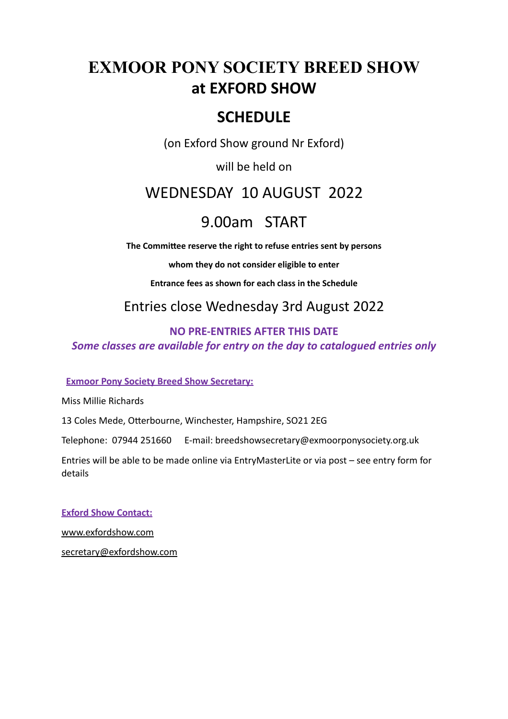# **EXMOOR PONY SOCIETY BREED SHOW** at **EXFORD** SHOW

# **SCHEDULE**

(on Exford Show ground Nr Exford)

will be held on

# WEDNESDAY 10 AUGUST 2022

# 9.00am START

The Committee reserve the right to refuse entries sent by persons

whom they do not consider eligible to enter

**Entrance fees as shown for each class in the Schedule** 

Entries close Wednesday 3rd August 2022

# **NO PRE-ENTRIES AFTER THIS DATE** *Some classes are available for entry on the day to catalogued entries only*

**Exmoor Pony Society Breed Show Secretary:** 

Miss Millie Richards 

13 Coles Mede, Otterbourne, Winchester, Hampshire, SO21 2EG

Telephone: 07944 251660 E-mail: breedshowsecretary@exmoorponysociety.org.uk

Entries will be able to be made online via EntryMasterLite or via post  $-$  see entry form for details 

**Exford Show Contact:** [www.exfordshow.com](http://www.exfordshow.com) [secretary@exfordshow.com](mailto:secretary@exfordshow.com)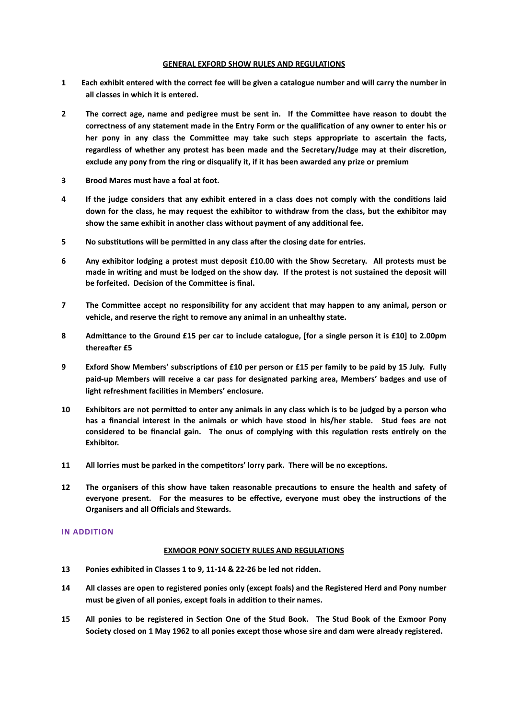#### **GENERAL EXFORD SHOW RULES AND REGULATIONS**

- **1** Each exhibit entered with the correct fee will be given a catalogue number and will carry the number in all classes in which it is entered.
- **2** The correct age, name and pedigree must be sent in. If the Committee have reason to doubt the correctness of any statement made in the Entry Form or the qualification of any owner to enter his or her pony in any class the Committee may take such steps appropriate to ascertain the facts, regardless of whether any protest has been made and the Secretary/Judge may at their discretion, exclude any pony from the ring or disqualify it, if it has been awarded any prize or premium
- **3** Brood Mares must have a foal at foot.
- **4** If the judge considers that any exhibit entered in a class does not comply with the conditions laid down for the class, he may request the exhibitor to withdraw from the class, but the exhibitor may show the same exhibit in another class without payment of any additional fee.
- **5** No substitutions will be permitted in any class after the closing date for entries.
- 6 Any exhibitor lodging a protest must deposit £10.00 with the Show Secretary. All protests must be made in writing and must be lodged on the show day. If the protest is not sustained the deposit will be forfeited. Decision of the Committee is final.
- **7** The Committee accept no responsibility for any accident that may happen to any animal, person or vehicle, and reserve the right to remove any animal in an unhealthy state.
- **8** Admittance to the Ground £15 per car to include catalogue, [for a single person it is £10] to 2.00pm **thereafter** £5
- 9 Exford Show Members' subscriptions of £10 per person or £15 per family to be paid by 15 July. Fully paid-up Members will receive a car pass for designated parking area, Members' badges and use of light refreshment facilities in Members' enclosure.
- **10** Exhibitors are not permitted to enter any animals in any class which is to be judged by a person who has a financial interest in the animals or which have stood in his/her stable. Stud fees are not considered to be financial gain. The onus of complying with this regulation rests entirely on the **Exhibitor.**
- **11** All lorries must be parked in the competitors' lorry park. There will be no exceptions.
- **12** The organisers of this show have taken reasonable precautions to ensure the health and safety of everyone present. For the measures to be effective, everyone must obey the instructions of the **Organisers and all Officials and Stewards.**

#### **IN ADDITION**

#### **EXMOOR PONY SOCIETY RULES AND REGULATIONS**

- 13 Ponies exhibited in Classes 1 to 9, 11-14 & 22-26 be led not ridden.
- **14** All classes are open to registered ponies only (except foals) and the Registered Herd and Pony number must be given of all ponies, except foals in addition to their names.
- **15** All ponies to be registered in Section One of the Stud Book. The Stud Book of the Exmoor Pony Society closed on 1 May 1962 to all ponies except those whose sire and dam were already registered.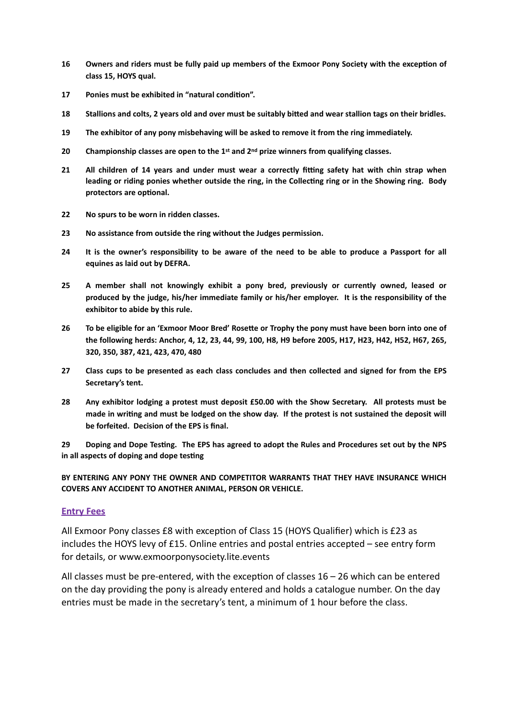- **16** Owners and riders must be fully paid up members of the Exmoor Pony Society with the exception of class 15, HOYS qual.
- **17** Ponies must be exhibited in "natural condition".
- **18** Stallions and colts, 2 years old and over must be suitably bitted and wear stallion tags on their bridles.
- **19** The exhibitor of any pony misbehaving will be asked to remove it from the ring immediately.
- 20 Championship classes are open to the 1<sup>st</sup> and 2<sup>nd</sup> prize winners from qualifying classes.
- **21** All children of 14 years and under must wear a correctly fitting safety hat with chin strap when leading or riding ponies whether outside the ring, in the Collecting ring or in the Showing ring. Body protectors are optional.
- **22** No spurs to be worn in ridden classes.
- **23** No assistance from outside the ring without the Judges permission.
- **24** It is the owner's responsibility to be aware of the need to be able to produce a Passport for all equines as laid out by DEFRA.
- 25 A member shall not knowingly exhibit a pony bred, previously or currently owned, leased or produced by the judge, his/her immediate family or his/her employer. It is the responsibility of the exhibitor to abide by this rule.
- 26 To be eligible for an 'Exmoor Moor Bred' Rosette or Trophy the pony must have been born into one of the following herds: Anchor, 4, 12, 23, 44, 99, 100, H8, H9 before 2005, H17, H23, H42, H52, H67, 265, **320, 350, 387, 421, 423, 470, 480**
- **27** Class cups to be presented as each class concludes and then collected and signed for from the EPS Secretary's tent.
- 28 Any exhibitor lodging a protest must deposit £50.00 with the Show Secretary. All protests must be made in writing and must be lodged on the show day. If the protest is not sustained the deposit will be forfeited. Decision of the EPS is final.

29 Doping and Dope Testing. The EPS has agreed to adopt the Rules and Procedures set out by the NPS in all aspects of doping and dope testing

BY ENTERING ANY PONY THE OWNER AND COMPETITOR WARRANTS THAT THEY HAVE INSURANCE WHICH **COVERS ANY ACCIDENT TO ANOTHER ANIMAL, PERSON OR VEHICLE.** 

#### **Entry Fees**

All Exmoor Pony classes £8 with exception of Class 15 (HOYS Qualifier) which is £23 as includes the HOYS levy of £15. Online entries and postal entries accepted  $-$  see entry form for details, or www.exmoorponysociety.lite.events

All classes must be pre-entered, with the exception of classes  $16 - 26$  which can be entered on the day providing the pony is already entered and holds a catalogue number. On the day entries must be made in the secretary's tent, a minimum of 1 hour before the class.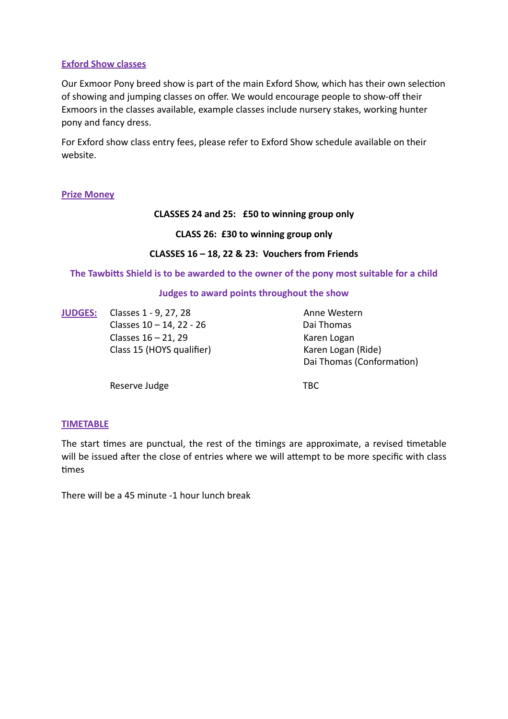### **Exford Show classes**

Our Exmoor Pony breed show is part of the main Exford Show, which has their own selection of showing and jumping classes on offer. We would encourage people to show-off their Exmoors in the classes available, example classes include nursery stakes, working hunter pony and fancy dress.

For Exford show class entry fees, please refer to Exford Show schedule available on their website. 

#### **Prize Money**

#### **CLASSES 24 and 25: £50 to winning group only**

#### **CLASS 26: £30 to winning group only**

#### **CLASSES 16 – 18, 22 & 23: Vouchers from Friends**

The Tawbitts Shield is to be awarded to the owner of the pony most suitable for a child

#### **Judges to award points throughout the show**

**JUDGES:** Classes 1 - 9, 27, 28 Anne Western  $\text{Classes } 10 - 14$ , 22 - 26 Dai Thomas  $\text{Classes } 16 - 21, 29$  Karen Logan

Class 15 (HOYS qualifier) Karen Logan (Ride) Dai Thomas (Conformation)

Reserve Judge **TBC** 

#### **TIMETABLE**

The start times are punctual, the rest of the timings are approximate, a revised timetable will be issued after the close of entries where we will attempt to be more specific with class ^mes 

There will be a 45 minute -1 hour lunch break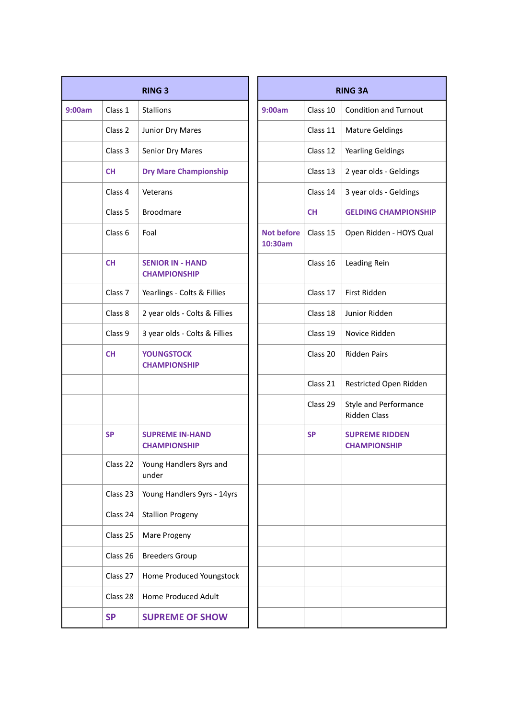| <b>RING 3</b> |                    |                                                |  | <b>RING 3A</b>               |           |                                                     |  |  |
|---------------|--------------------|------------------------------------------------|--|------------------------------|-----------|-----------------------------------------------------|--|--|
| 9:00am        | Class 1            | <b>Stallions</b>                               |  | 9:00am                       | Class 10  | <b>Condition and Turnout</b>                        |  |  |
|               | Class 2            | Junior Dry Mares                               |  |                              | Class 11  | <b>Mature Geldings</b>                              |  |  |
|               | Class 3            | Senior Dry Mares                               |  |                              | Class 12  | <b>Yearling Geldings</b>                            |  |  |
|               | <b>CH</b>          | <b>Dry Mare Championship</b>                   |  |                              | Class 13  | 2 year olds - Geldings                              |  |  |
|               | Class 4            | Veterans                                       |  |                              | Class 14  | 3 year olds - Geldings                              |  |  |
|               | Class 5            | <b>Broodmare</b>                               |  |                              | <b>CH</b> | <b>GELDING CHAMPIONS</b>                            |  |  |
|               | Class <sub>6</sub> | Foal                                           |  | <b>Not before</b><br>10:30am | Class 15  | Open Ridden - HOYS Q                                |  |  |
|               | <b>CH</b>          | <b>SENIOR IN - HAND</b><br><b>CHAMPIONSHIP</b> |  |                              | Class 16  | Leading Rein                                        |  |  |
|               | Class <sub>7</sub> | Yearlings - Colts & Fillies                    |  |                              | Class 17  | First Ridden                                        |  |  |
|               | Class 8            | 2 year olds - Colts & Fillies                  |  |                              | Class 18  | Junior Ridden                                       |  |  |
|               | Class 9            | 3 year olds - Colts & Fillies                  |  |                              | Class 19  | Novice Ridden                                       |  |  |
|               | <b>CH</b>          | <b>YOUNGSTOCK</b><br><b>CHAMPIONSHIP</b>       |  |                              | Class 20  | <b>Ridden Pairs</b>                                 |  |  |
|               |                    |                                                |  |                              | Class 21  | Restricted Open Ridde                               |  |  |
|               |                    |                                                |  |                              | Class 29  | <b>Style and Performance</b><br><b>Ridden Class</b> |  |  |
|               | <b>SP</b>          | <b>SUPREME IN-HAND</b><br><b>CHAMPIONSHIP</b>  |  |                              | <b>SP</b> | <b>SUPREME RIDDEN</b><br><b>CHAMPIONSHIP</b>        |  |  |
|               | Class 22           | Young Handlers 8yrs and<br>under               |  |                              |           |                                                     |  |  |
|               | Class 23           | Young Handlers 9yrs - 14yrs                    |  |                              |           |                                                     |  |  |
|               | Class 24           | <b>Stallion Progeny</b>                        |  |                              |           |                                                     |  |  |
|               | Class 25           | Mare Progeny                                   |  |                              |           |                                                     |  |  |
|               | Class 26           | <b>Breeders Group</b>                          |  |                              |           |                                                     |  |  |
|               | Class 27           | Home Produced Youngstock                       |  |                              |           |                                                     |  |  |
|               | Class 28           | Home Produced Adult                            |  |                              |           |                                                     |  |  |
|               | <b>SP</b>          | <b>SUPREME OF SHOW</b>                         |  |                              |           |                                                     |  |  |
|               |                    |                                                |  |                              |           |                                                     |  |  |

|                    | <b>RING 3</b>                                  |  |                              | <b>RING 3A</b> |
|--------------------|------------------------------------------------|--|------------------------------|----------------|
| Class 1            | <b>Stallions</b>                               |  | 9:00am                       | Class 10       |
| Class 2            | Junior Dry Mares                               |  |                              | Class 11       |
| Class 3            | Senior Dry Mares                               |  |                              | Class 12       |
| <b>CH</b>          | <b>Dry Mare Championship</b>                   |  |                              | Class 13       |
| Class 4            | Veterans                                       |  |                              | Class 14       |
| Class 5            | <b>Broodmare</b>                               |  |                              | <b>CH</b>      |
| Class 6            | Foal                                           |  | <b>Not before</b><br>10:30am | Class 15       |
| <b>CH</b>          | <b>SENIOR IN - HAND</b><br><b>CHAMPIONSHIP</b> |  |                              | Class 16       |
| Class <sub>7</sub> | Yearlings - Colts & Fillies                    |  |                              | Class 17       |
| Class 8            | 2 year olds - Colts & Fillies                  |  |                              | Class 18       |
| Class 9            | 3 year olds - Colts & Fillies                  |  |                              | Class 19       |
| <b>CH</b>          | <b>YOUNGSTOCK</b><br><b>CHAMPIONSHIP</b>       |  |                              | Class 20       |
|                    |                                                |  |                              | Class 21       |
|                    |                                                |  |                              | Class 29       |
| <b>SP</b>          | <b>SUPREME IN-HAND</b><br><b>CHAMPIONSHIP</b>  |  |                              | <b>SP</b>      |
| Class 22           | Young Handlers 8yrs and<br>under               |  |                              |                |
| Class 23           | Young Handlers 9yrs - 14yrs                    |  |                              |                |
| Class 24           | <b>Stallion Progeny</b>                        |  |                              |                |
| Class 25           | Mare Progeny                                   |  |                              |                |
| Class 26           | <b>Breeders Group</b>                          |  |                              |                |
| Class 27           | Home Produced Youngstock                       |  |                              |                |
| Class 28           | Home Produced Adult                            |  |                              |                |
| <b>SP</b>          | <b>SUPREME OF SHOW</b>                         |  |                              |                |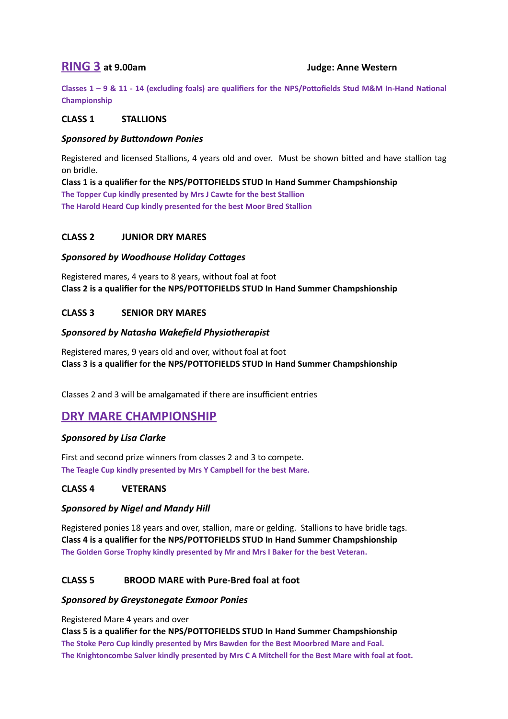# **RING 3** at 9.00am Iudge: Anne Western

Classes  $1 - 9$  &  $11 - 14$  (excluding foals) are qualifiers for the NPS/Pottofields Stud M&M In-Hand National **Championship** 

### **CLASS 1 STALLIONS**

#### **Sponsored by Buttondown Ponies**

Registered and licensed Stallions, 4 years old and over. Must be shown bitted and have stallion tag on bridle. 

**Class 1** is a qualifier for the NPS/POTTOFIELDS STUD In Hand Summer Champshionship The Topper Cup kindly presented by Mrs J Cawte for the best Stallion **The Harold Heard Cup kindly presented for the best Moor Bred Stallion** 

# **CLASS 2 JUNIOR DRY MARES**

#### **Sponsored by Woodhouse Holiday Cottages**

Registered mares, 4 years to 8 years, without foal at foot **Class 2** is a qualifier for the NPS/POTTOFIELDS STUD In Hand Summer Champshionship

# **CLASS 3 SENIOR DRY MARES**

#### **Sponsored by Natasha Wakefield Physiotherapist**

Registered mares, 9 years old and over, without foal at foot **Class 3** is a qualifier for the NPS/POTTOFIELDS STUD In Hand Summer Champshionship

Classes 2 and 3 will be amalgamated if there are insufficient entries

# **DRY MARE CHAMPIONSHIP**

# *Sponsored by Lisa Clarke*

First and second prize winners from classes 2 and 3 to compete. The Teagle Cup kindly presented by Mrs Y Campbell for the best Mare.

#### CLASS 4 **VETERANS**

#### **Sponsored by Nigel and Mandy Hill**

Registered ponies 18 years and over, stallion, mare or gelding. Stallions to have bridle tags. **Class 4 is a qualifier for the NPS/POTTOFIELDS STUD In Hand Summer Champshionship** The Golden Gorse Trophy kindly presented by Mr and Mrs I Baker for the best Veteran.

# CLASS 5 BROOD MARE with Pure-Bred foal at foot

#### **Sponsored by Greystonegate Exmoor Ponies**

Registered Mare 4 years and over

**Class 5** is a qualifier for the NPS/POTTOFIELDS STUD In Hand Summer Champshionship The Stoke Pero Cup kindly presented by Mrs Bawden for the Best Moorbred Mare and Foal. The Knightoncombe Salver kindly presented by Mrs C A Mitchell for the Best Mare with foal at foot.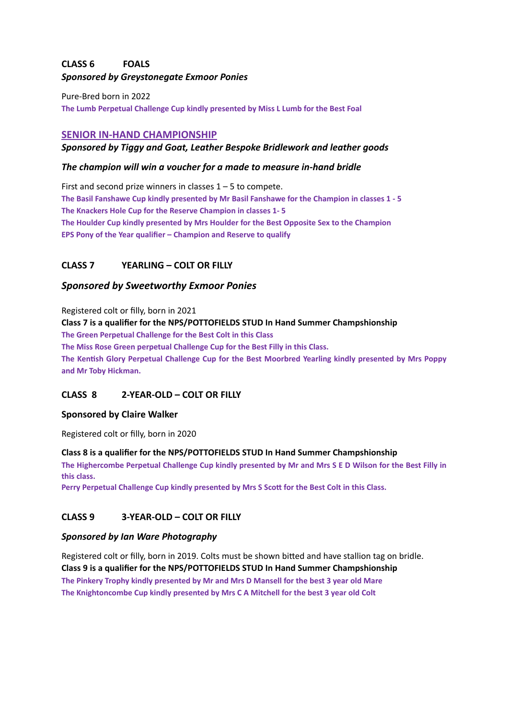# **CLASS 6 FOALS Sponsored by Greystonegate Exmoor Ponies**

Pure-Bred born in 2022 The Lumb Perpetual Challenge Cup kindly presented by Miss L Lumb for the Best Foal

# **SENIOR IN-HAND CHAMPIONSHIP**

# **Sponsored by Tiggy and Goat, Leather Bespoke Bridlework and leather goods**

# The champion will win a voucher for a made to measure in-hand bridle

First and second prize winners in classes  $1 - 5$  to compete. The Basil Fanshawe Cup kindly presented by Mr Basil Fanshawe for the Champion in classes 1 - 5 The Knackers Hole Cup for the Reserve Champion in classes 1- 5 The Houlder Cup kindly presented by Mrs Houlder for the Best Opposite Sex to the Champion **EPS Pony of the Year qualifier – Champion and Reserve to qualify** 

# **CLASS 7** YEARLING – COLT OR FILLY

# *Sponsored by Sweetworthy Exmoor Ponies*

Registered colt or filly, born in 2021 **Class 7** is a qualifier for the NPS/POTTOFIELDS STUD In Hand Summer Champshionship **The Green Perpetual Challenge for the Best Colt in this Class** The Miss Rose Green perpetual Challenge Cup for the Best Filly in this Class. The Kentish Glory Perpetual Challenge Cup for the Best Moorbred Yearling kindly presented by Mrs Poppy and Mr Toby Hickman.

# **CLASS 8 2-YEAR-OLD – COLT OR FILLY**

# **Sponsored by Claire Walker**

Registered colt or filly, born in 2020

#### **Class 8** is a qualifier for the NPS/POTTOFIELDS STUD In Hand Summer Champshionship

The Highercombe Perpetual Challenge Cup kindly presented by Mr and Mrs S E D Wilson for the Best Filly in this class.

Perry Perpetual Challenge Cup kindly presented by Mrs S Scott for the Best Colt in this Class.

# **CLASS 9 3-YEAR-OLD – COLT OR FILLY**

#### **Sponsored by Ian Ware Photography**

Registered colt or filly, born in 2019. Colts must be shown bitted and have stallion tag on bridle. **Class 9** is a qualifier for the NPS/POTTOFIELDS STUD In Hand Summer Champshionship The Pinkery Trophy kindly presented by Mr and Mrs D Mansell for the best 3 year old Mare The Knightoncombe Cup kindly presented by Mrs C A Mitchell for the best 3 year old Colt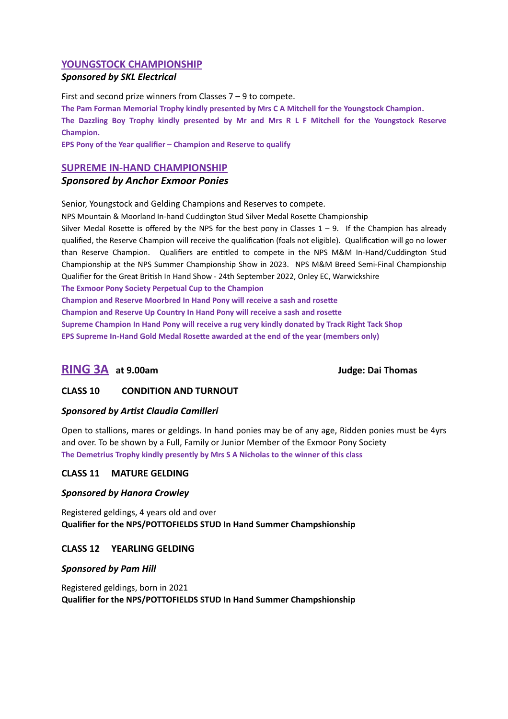### **YOUNGSTOCK CHAMPIONSHIP**

#### *Sponsored by SKL Electrical*

First and second prize winners from Classes  $7 - 9$  to compete.

The Pam Forman Memorial Trophy kindly presented by Mrs C A Mitchell for the Youngstock Champion.

The Dazzling Boy Trophy kindly presented by Mr and Mrs R L F Mitchell for the Youngstock Reserve **Champion.** 

**EPS Pony of the Year qualifier – Champion and Reserve to qualify** 

#### **SUPREME IN-HAND CHAMPIONSHIP**

### *Sponsored by Anchor Exmoor Ponies*

Senior, Youngstock and Gelding Champions and Reserves to compete.

NPS Mountain & Moorland In-hand Cuddington Stud Silver Medal Rosette Championship

Silver Medal Rosette is offered by the NPS for the best pony in Classes  $1 - 9$ . If the Champion has already qualified, the Reserve Champion will receive the qualification (foals not eligible). Qualification will go no lower than Reserve Champion. Qualifiers are entitled to compete in the NPS M&M In-Hand/Cuddington Stud Championship at the NPS Summer Championship Show in 2023. NPS M&M Breed Semi-Final Championship Qualifier for the Great British In Hand Show - 24th September 2022, Onley EC, Warwickshire

The Exmoor Pony Society Perpetual Cup to the Champion

**Champion and Reserve Moorbred In Hand Pony will receive a sash and rosette** 

**Champion and Reserve Up Country In Hand Pony will receive a sash and rosette** 

Supreme Champion In Hand Pony will receive a rug very kindly donated by Track Right Tack Shop

**EPS Supreme In-Hand Gold Medal Rosette awarded at the end of the year (members only)** 

# **RING 3A** at 9.00am and the state of the state of the state of the state of the state of the state of the state of the state of the state of the state of the state of the state of the state of the state of the state of the

# **CLASS 10 CONDITION AND TURNOUT**

#### **Sponsored by Artist Claudia Camilleri**

Open to stallions, mares or geldings. In hand ponies may be of any age, Ridden ponies must be 4yrs and over. To be shown by a Full, Family or Junior Member of the Exmoor Pony Society The Demetrius Trophy kindly presently by Mrs S A Nicholas to the winner of this class

#### **CLASS 11 MATURE GELDING**

#### **Sponsored by Hanora Crowley**

Registered geldings, 4 years old and over **Qualifier for the NPS/POTTOFIELDS STUD In Hand Summer Champshionship** 

# **CLASS 12 YEARLING GELDING**

#### **Sponsored by Pam Hill**

Registered geldings, born in 2021 **Qualifier for the NPS/POTTOFIELDS STUD In Hand Summer Champshionship**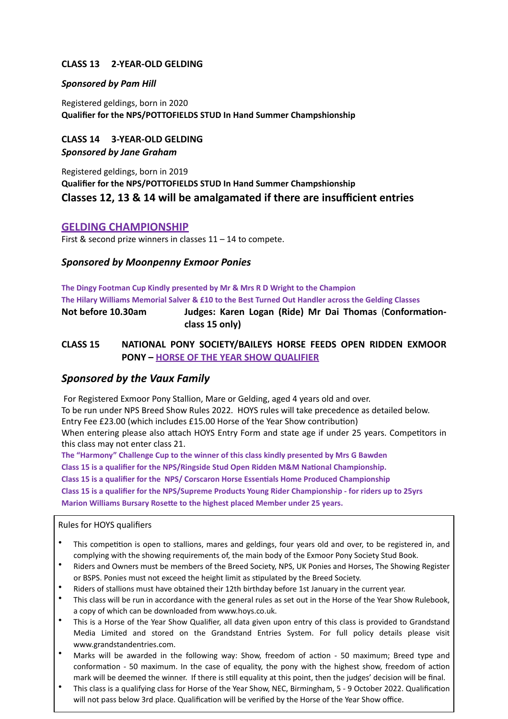# **CLASS 13 2-YEAR-OLD GELDING**

#### **Sponsored by Pam Hill**

Registered geldings, born in 2020 **Qualifier for the NPS/POTTOFIELDS STUD In Hand Summer Champshionship** 

**CLASS 14 3-YEAR-OLD GELDING Sponsored by Jane Graham** 

Registered geldings, born in 2019 **Qualifier for the NPS/POTTOFIELDS STUD In Hand Summer Champshionship Classes 12, 13 & 14 will be amalgamated if there are insufficient entries** 

# **GELDING CHAMPIONSHIP**

First & second prize winners in classes  $11 - 14$  to compete.

# **Sponsored by Moonpenny Exmoor Ponies**

The Dingy Footman Cup Kindly presented by Mr & Mrs R D Wright to the Champion The Hilary Williams Memorial Salver & £10 to the Best Turned Out Handler across the Gelding Classes Not before 10.30am **Iudges: Karen Logan (Ride) Mr Dai Thomas (Conformation**class 15 only)

# **CLASS 15 NATIONAL PONY SOCIETY/BAILEYS HORSE FEEDS OPEN RIDDEN EXMOOR PONY – HORSE OF THE YEAR SHOW QUALIFIER**

# **Sponsored by the Vaux Family**

For Registered Exmoor Pony Stallion, Mare or Gelding, aged 4 years old and over. To be run under NPS Breed Show Rules 2022. HOYS rules will take precedence as detailed below. Entry Fee £23.00 (which includes £15.00 Horse of the Year Show contribution) When entering please also attach HOYS Entry Form and state age if under 25 years. Competitors in this class may not enter class 21.

The "Harmony" Challenge Cup to the winner of this class kindly presented by Mrs G Bawden **Class 15 is a qualifier for the NPS/Ringside Stud Open Ridden M&M National Championship.** Class 15 is a qualifier for the NPS/ Corscaron Horse Essentials Home Produced Championship Class 15 is a qualifier for the NPS/Supreme Products Young Rider Championship - for riders up to 25yrs **Marion Williams Bursary Rosette to the highest placed Member under 25 years.** 

#### Rules for HOYS qualifiers

- This competition is open to stallions, mares and geldings, four years old and over, to be registered in, and complying with the showing requirements of, the main body of the Exmoor Pony Society Stud Book.
- Riders and Owners must be members of the Breed Society, NPS, UK Ponies and Horses, The Showing Register or BSPS. Ponies must not exceed the height limit as stipulated by the Breed Society.
- Riders of stallions must have obtained their 12th birthday before 1st January in the current year.
- This class will be run in accordance with the general rules as set out in the Horse of the Year Show Rulebook, a copy of which can be downloaded from www.hoys.co.uk.
- This is a Horse of the Year Show Qualifier, all data given upon entry of this class is provided to Grandstand Media Limited and stored on the Grandstand Entries System. For full policy details please visit www.grandstandentries.com.
- Marks will be awarded in the following way: Show, freedom of action 50 maximum; Breed type and conformation - 50 maximum. In the case of equality, the pony with the highest show, freedom of action mark will be deemed the winner. If there is still equality at this point, then the judges' decision will be final.
- This class is a qualifying class for Horse of the Year Show, NEC, Birmingham, 5 9 October 2022. Qualification will not pass below 3rd place. Qualification will be verified by the Horse of the Year Show office.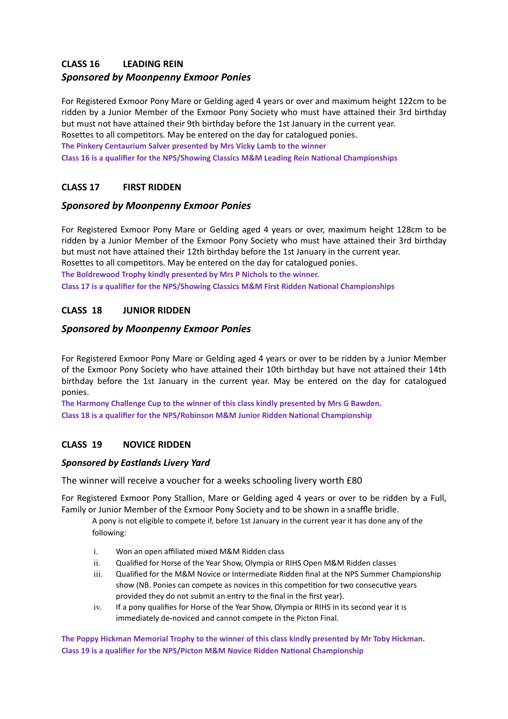# **CLASS 16 LEADING REIN**

# **Sponsored by Moonpenny Exmoor Ponies**

For Registered Exmoor Pony Mare or Gelding aged 4 years or over and maximum height 122cm to be ridden by a Junior Member of the Exmoor Pony Society who must have attained their 3rd birthday but must not have attained their 9th birthday before the 1st January in the current year. Rosettes to all competitors. May be entered on the day for catalogued ponies.

**The Pinkery Centaurium Salver presented by Mrs Vicky Lamb to the winner** 

**Class 16 is a qualifier for the NPS/Showing Classics M&M Leading Rein National Championships** 

# **CLASS 17 FIRST RIDDEN**

# *Sponsored by Moonpenny Exmoor Ponies*

For Registered Exmoor Pony Mare or Gelding aged 4 years or over, maximum height 128cm to be ridden by a Junior Member of the Exmoor Pony Society who must have attained their 3rd birthday but must not have attained their 12th birthday before the 1st January in the current year.

Rosettes to all competitors. May be entered on the day for catalogued ponies.

The Boldrewood Trophy kindly presented by Mrs P Nichols to the winner.

**Class 17 is a qualifier for the NPS/Showing Classics M&M First Ridden National Championships** 

# **CLASS 18 JUNIOR RIDDEN**

# *Sponsored by Moonpenny Exmoor Ponies*

For Registered Exmoor Pony Mare or Gelding aged 4 years or over to be ridden by a Junior Member of the Exmoor Pony Society who have attained their 10th birthday but have not attained their 14th birthday before the 1st January in the current year. May be entered on the day for catalogued ponies. 

The Harmony Challenge Cup to the winner of this class kindly presented by Mrs G Bawden. **Class 18 is a qualifier for the NPS/Robinson M&M Junior Ridden National Championship** 

# **CLASS 19 NOVICE RIDDEN**

# *Sponsored by Eastlands Livery Yard*

The winner will receive a voucher for a weeks schooling livery worth £80

For Registered Exmoor Pony Stallion, Mare or Gelding aged 4 years or over to be ridden by a Full, Family or Junior Member of the Exmoor Pony Society and to be shown in a snaffle bridle.

A pony is not eligible to compete if, before 1st January in the current year it has done any of the following: 

- i. Won an open affiliated mixed M&M Ridden class
- ii. Qualified for Horse of the Year Show, Olympia or RIHS Open M&M Ridden classes
- iii. Qualified for the M&M Novice or Intermediate Ridden final at the NPS Summer Championship show (NB. Ponies can compete as novices in this competition for two consecutive years provided they do not submit an entry to the final in the first year).
- iv. If a pony qualifies for Horse of the Year Show, Olympia or RIHS in its second year it is immediately de-noviced and cannot compete in the Picton Final.

The Poppy Hickman Memorial Trophy to the winner of this class kindly presented by Mr Toby Hickman. **Class 19 is a qualifier for the NPS/Picton M&M Novice Ridden National Championship**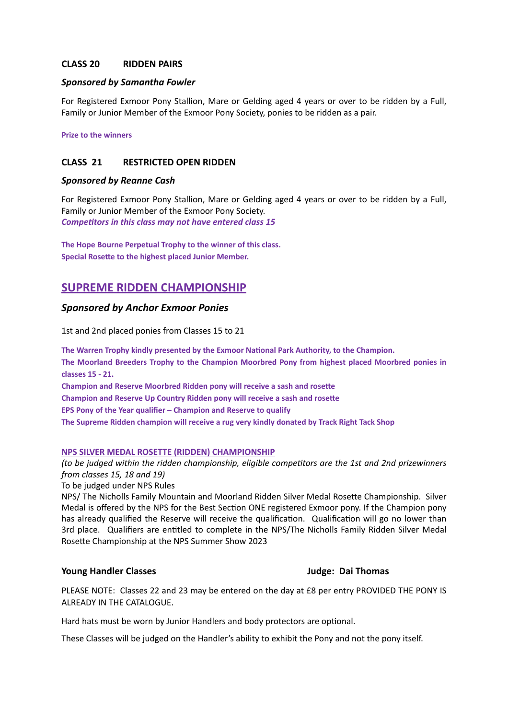#### **CLASS 20 RIDDEN PAIRS**

#### *Sponsored by Samantha Fowler*

For Registered Exmoor Pony Stallion, Mare or Gelding aged 4 years or over to be ridden by a Full, Family or Junior Member of the Exmoor Pony Society, ponies to be ridden as a pair.

**Prize to the winners** 

#### **CLASS 21 RESTRICTED OPEN RIDDEN**

#### *Sponsored by Reanne Cash*

For Registered Exmoor Pony Stallion, Mare or Gelding aged 4 years or over to be ridden by a Full, Family or Junior Member of the Exmoor Pony Society. **Competitors in this class may not have entered class 15** 

The Hope Bourne Perpetual Trophy to the winner of this class. **Special Rosette to the highest placed Junior Member.** 

# **SUPREME RIDDEN CHAMPIONSHIP**

#### **Sponsored by Anchor Exmoor Ponies**

1st and 2nd placed ponies from Classes 15 to 21

The Warren Trophy kindly presented by the Exmoor National Park Authority, to the Champion.

The Moorland Breeders Trophy to the Champion Moorbred Pony from highest placed Moorbred ponies in **classes 15 - 21.** 

**Champion and Reserve Moorbred Ridden pony will receive a sash and rosette Champion and Reserve Up Country Ridden pony will receive a sash and rosette EPS Pony of the Year qualifier – Champion and Reserve to qualify** The Supreme Ridden champion will receive a rug very kindly donated by Track Right Tack Shop

# **NPS SILVER MEDAL ROSETTE (RIDDEN) CHAMPIONSHIP**

# *(to be judged within the ridden championship, eligible competitors are the 1st and 2nd prizewinners from classes 15, 18 and 19)*

To be judged under NPS Rules

NPS/ The Nicholls Family Mountain and Moorland Ridden Silver Medal Rosette Championship. Silver Medal is offered by the NPS for the Best Section ONE registered Exmoor pony. If the Champion pony has already qualified the Reserve will receive the qualification. Qualification will go no lower than 3rd place. Qualifiers are entitled to complete in the NPS/The Nicholls Family Ridden Silver Medal Rosette Championship at the NPS Summer Show 2023

#### **Young Handler Classes South Allen Classes** *Judge:* **Dai Thomas**

PLEASE NOTE: Classes 22 and 23 may be entered on the day at £8 per entry PROVIDED THE PONY IS ALREADY IN THE CATALOGUE.

Hard hats must be worn by Junior Handlers and body protectors are optional.

These Classes will be judged on the Handler's ability to exhibit the Pony and not the pony itself.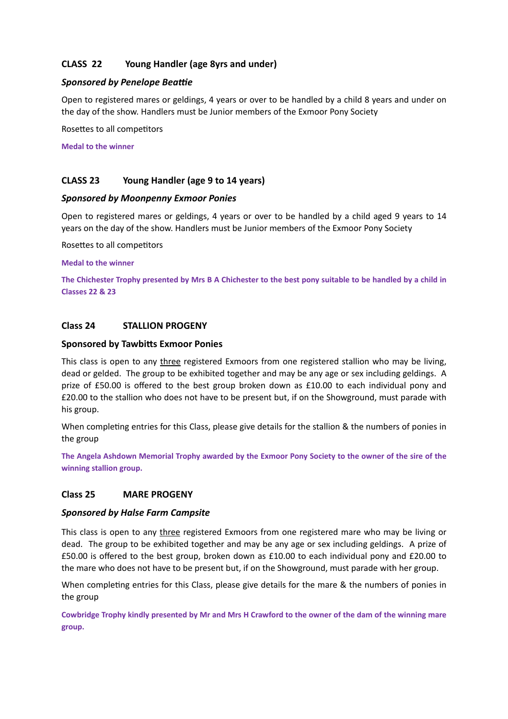# **CLASS 22** Young Handler (age 8yrs and under)

# **Sponsored by Penelope Beattie**

Open to registered mares or geldings, 4 years or over to be handled by a child 8 years and under on the day of the show. Handlers must be Junior members of the Exmoor Pony Society

Rosettes to all competitors

**Medal to the winner** 

# **CLASS 23** Young Handler (age 9 to 14 years)

#### *Sponsored by Moonpenny Exmoor Ponies*

Open to registered mares or geldings, 4 years or over to be handled by a child aged 9 years to 14 years on the day of the show. Handlers must be Junior members of the Exmoor Pony Society

Rosettes to all competitors

#### **Medal to the winner**

The Chichester Trophy presented by Mrs B A Chichester to the best pony suitable to be handled by a child in **Classes 22 & 23** 

# Class 24 **STALLION PROGENY**

#### **Sponsored by Tawbitts Exmoor Ponies**

This class is open to any three registered Exmoors from one registered stallion who may be living, dead or gelded. The group to be exhibited together and may be any age or sex including geldings. A prize of £50.00 is offered to the best group broken down as  $£10.00$  to each individual pony and £20.00 to the stallion who does not have to be present but, if on the Showground, must parade with his group.

When completing entries for this Class, please give details for the stallion & the numbers of ponies in the group

The Angela Ashdown Memorial Trophy awarded by the Exmoor Pony Society to the owner of the sire of the winning stallion group.

# Class 25 **MARE PROGENY**

#### *Sponsored by Halse Farm Campsite*

This class is open to any three registered Exmoors from one registered mare who may be living or dead. The group to be exhibited together and may be any age or sex including geldings. A prize of  $£50.00$  is offered to the best group, broken down as  $£10.00$  to each individual pony and  $£20.00$  to the mare who does not have to be present but, if on the Showground, must parade with her group.

When completing entries for this Class, please give details for the mare & the numbers of ponies in the group

Cowbridge Trophy kindly presented by Mr and Mrs H Crawford to the owner of the dam of the winning mare group.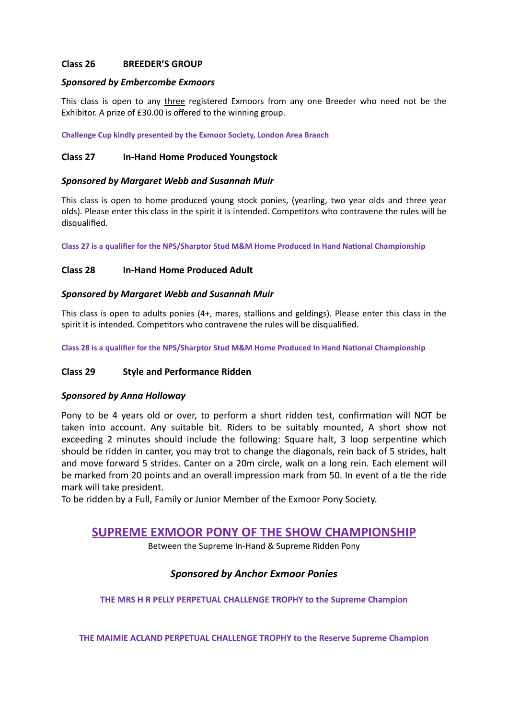#### Class 26 **BREEDER'S GROUP**

#### **Sponsored by Embercombe Exmoors**

This class is open to any three registered Exmoors from any one Breeder who need not be the Exhibitor. A prize of £30.00 is offered to the winning group.

**Challenge Cup kindly presented by the Exmoor Society, London Area Branch** 

### **Class 27 In-Hand Home Produced Youngstock**

#### *Sponsored by Margaret Webb and Susannah Muir*

This class is open to home produced young stock ponies, (yearling, two year olds and three year olds). Please enter this class in the spirit it is intended. Competitors who contravene the rules will be disqualified. 

Class 27 is a qualifier for the NPS/Sharptor Stud M&M Home Produced In Hand National Championship

#### **Class 28** In-Hand Home Produced Adult

#### *Sponsored by Margaret Webb and Susannah Muir*

This class is open to adults ponies  $(4+)$ , mares, stallions and geldings). Please enter this class in the spirit it is intended. Competitors who contravene the rules will be disqualified.

Class 28 is a qualifier for the NPS/Sharptor Stud M&M Home Produced In Hand National Championship

#### **Class 29** Style and Performance Ridden

#### *Sponsored by Anna Holloway*

Pony to be 4 years old or over, to perform a short ridden test, confirmation will NOT be taken into account. Any suitable bit. Riders to be suitably mounted, A short show not exceeding 2 minutes should include the following: Square halt, 3 loop serpentine which should be ridden in canter, you may trot to change the diagonals, rein back of 5 strides, halt and move forward 5 strides. Canter on a 20m circle, walk on a long rein. Each element will be marked from 20 points and an overall impression mark from 50. In event of a tie the ride mark will take president.

To be ridden by a Full, Family or Junior Member of the Exmoor Pony Society.

# **SUPREME EXMOOR PONY OF THE SHOW CHAMPIONSHIP**

Between the Supreme In-Hand & Supreme Ridden Pony

# **Sponsored by Anchor Exmoor Ponies**

**THE MRS H R PELLY PERPETUAL CHALLENGE TROPHY to the Supreme Champion** 

**THE MAIMIE ACLAND PERPETUAL CHALLENGE TROPHY to the Reserve Supreme Champion**